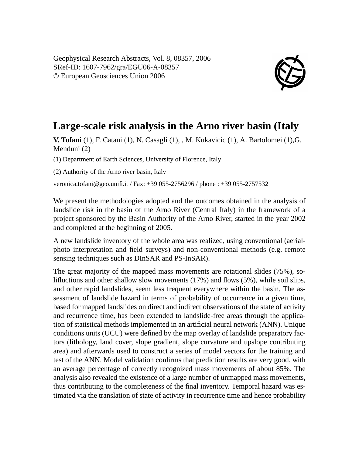

## **Large-scale risk analysis in the Arno river basin (Italy**

**V. Tofani** (1), F. Catani (1), N. Casagli (1), , M. Kukavicic (1), A. Bartolomei (1),G. Menduni (2)

(1) Department of Earth Sciences, University of Florence, Italy

(2) Authority of the Arno river basin, Italy

veronica.tofani@geo.unifi.it / Fax: +39 055-2756296 / phone : +39 055-2757532

We present the methodologies adopted and the outcomes obtained in the analysis of landslide risk in the basin of the Arno River (Central Italy) in the framework of a project sponsored by the Basin Authority of the Arno River, started in the year 2002 and completed at the beginning of 2005.

A new landslide inventory of the whole area was realized, using conventional (aerialphoto interpretation and field surveys) and non-conventional methods (e.g. remote sensing techniques such as DInSAR and PS-InSAR).

The great majority of the mapped mass movements are rotational slides (75%), solifluctions and other shallow slow movements (17%) and flows (5%), while soil slips, and other rapid landslides, seem less frequent everywhere within the basin. The assessment of landslide hazard in terms of probability of occurrence in a given time, based for mapped landslides on direct and indirect observations of the state of activity and recurrence time, has been extended to landslide-free areas through the application of statistical methods implemented in an artificial neural network (ANN). Unique conditions units (UCU) were defined by the map overlay of landslide preparatory factors (lithology, land cover, slope gradient, slope curvature and upslope contributing area) and afterwards used to construct a series of model vectors for the training and test of the ANN. Model validation confirms that prediction results are very good, with an average percentage of correctly recognized mass movements of about 85%. The analysis also revealed the existence of a large number of unmapped mass movements, thus contributing to the completeness of the final inventory. Temporal hazard was estimated via the translation of state of activity in recurrence time and hence probability